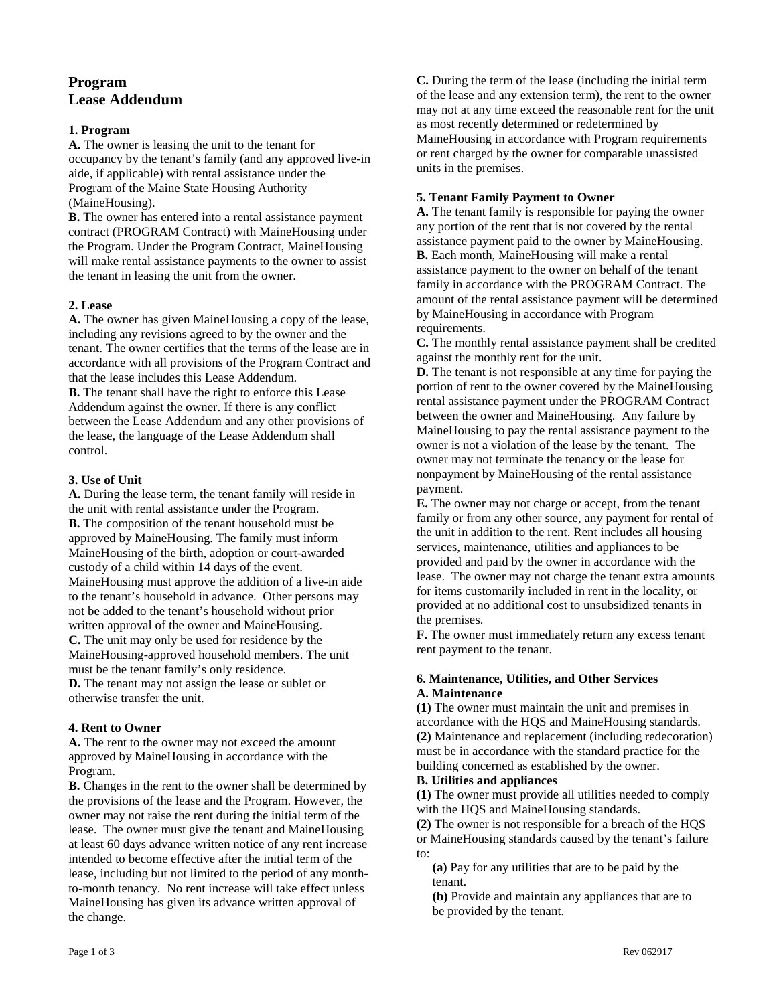# **Program Lease Addendum**

### **1. Program**

**A.** The owner is leasing the unit to the tenant for occupancy by the tenant's family (and any approved live-in aide, if applicable) with rental assistance under the Program of the Maine State Housing Authority (MaineHousing).

**B.** The owner has entered into a rental assistance payment contract (PROGRAM Contract) with MaineHousing under the Program. Under the Program Contract, MaineHousing will make rental assistance payments to the owner to assist the tenant in leasing the unit from the owner.

# **2. Lease**

**A.** The owner has given MaineHousing a copy of the lease, including any revisions agreed to by the owner and the tenant. The owner certifies that the terms of the lease are in accordance with all provisions of the Program Contract and that the lease includes this Lease Addendum.

**B.** The tenant shall have the right to enforce this Lease Addendum against the owner. If there is any conflict between the Lease Addendum and any other provisions of the lease, the language of the Lease Addendum shall control.

# **3. Use of Unit**

**A.** During the lease term, the tenant family will reside in the unit with rental assistance under the Program. **B.** The composition of the tenant household must be approved by MaineHousing. The family must inform MaineHousing of the birth, adoption or court-awarded custody of a child within 14 days of the event. MaineHousing must approve the addition of a live-in aide to the tenant's household in advance. Other persons may not be added to the tenant's household without prior written approval of the owner and MaineHousing. **C.** The unit may only be used for residence by the MaineHousing-approved household members. The unit must be the tenant family's only residence.

**D.** The tenant may not assign the lease or sublet or otherwise transfer the unit.

### **4. Rent to Owner**

**A.** The rent to the owner may not exceed the amount approved by MaineHousing in accordance with the Program.

**B.** Changes in the rent to the owner shall be determined by the provisions of the lease and the Program. However, the owner may not raise the rent during the initial term of the lease. The owner must give the tenant and MaineHousing at least 60 days advance written notice of any rent increase intended to become effective after the initial term of the lease, including but not limited to the period of any monthto-month tenancy. No rent increase will take effect unless MaineHousing has given its advance written approval of the change.

**C.** During the term of the lease (including the initial term of the lease and any extension term), the rent to the owner may not at any time exceed the reasonable rent for the unit as most recently determined or redetermined by MaineHousing in accordance with Program requirements or rent charged by the owner for comparable unassisted units in the premises.

# **5. Tenant Family Payment to Owner**

**A.** The tenant family is responsible for paying the owner any portion of the rent that is not covered by the rental assistance payment paid to the owner by MaineHousing. **B.** Each month, MaineHousing will make a rental assistance payment to the owner on behalf of the tenant family in accordance with the PROGRAM Contract. The amount of the rental assistance payment will be determined by MaineHousing in accordance with Program requirements.

**C.** The monthly rental assistance payment shall be credited against the monthly rent for the unit.

**D.** The tenant is not responsible at any time for paying the portion of rent to the owner covered by the MaineHousing rental assistance payment under the PROGRAM Contract between the owner and MaineHousing. Any failure by MaineHousing to pay the rental assistance payment to the owner is not a violation of the lease by the tenant. The owner may not terminate the tenancy or the lease for nonpayment by MaineHousing of the rental assistance payment.

**E.** The owner may not charge or accept, from the tenant family or from any other source, any payment for rental of the unit in addition to the rent. Rent includes all housing services, maintenance, utilities and appliances to be provided and paid by the owner in accordance with the lease. The owner may not charge the tenant extra amounts for items customarily included in rent in the locality, or provided at no additional cost to unsubsidized tenants in the premises.

**F.** The owner must immediately return any excess tenant rent payment to the tenant.

### **6. Maintenance, Utilities, and Other Services A. Maintenance**

**(1)** The owner must maintain the unit and premises in accordance with the HQS and MaineHousing standards. **(2)** Maintenance and replacement (including redecoration) must be in accordance with the standard practice for the building concerned as established by the owner.

# **B. Utilities and appliances**

**(1)** The owner must provide all utilities needed to comply with the HQS and MaineHousing standards.

**(2)** The owner is not responsible for a breach of the HQS or MaineHousing standards caused by the tenant's failure to:

 **(a)** Pay for any utilities that are to be paid by the tenant.

 **(b)** Provide and maintain any appliances that are to be provided by the tenant.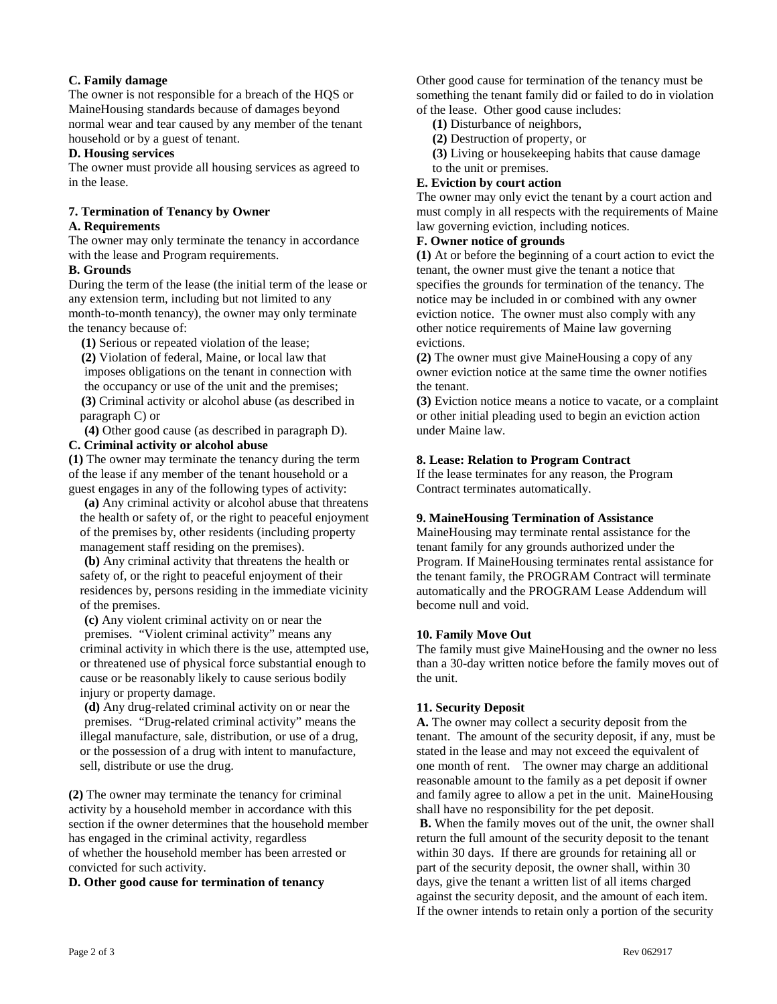# **C. Family damage**

The owner is not responsible for a breach of the HQS or MaineHousing standards because of damages beyond normal wear and tear caused by any member of the tenant household or by a guest of tenant.

### **D. Housing services**

The owner must provide all housing services as agreed to in the lease.

#### **7. Termination of Tenancy by Owner A. Requirements**

The owner may only terminate the tenancy in accordance with the lease and Program requirements.

### **B. Grounds**

During the term of the lease (the initial term of the lease or any extension term, including but not limited to any month-to-month tenancy), the owner may only terminate the tenancy because of:

 **(1)** Serious or repeated violation of the lease;  **(2)** Violation of federal, Maine, or local law that imposes obligations on the tenant in connection with the occupancy or use of the unit and the premises;  **(3)** Criminal activity or alcohol abuse (as described in paragraph C) or

 **(4)** Other good cause (as described in paragraph D).

### **C. Criminal activity or alcohol abuse**

**(1)** The owner may terminate the tenancy during the term of the lease if any member of the tenant household or a guest engages in any of the following types of activity:

 **(a)** Any criminal activity or alcohol abuse that threatens the health or safety of, or the right to peaceful enjoyment of the premises by, other residents (including property management staff residing on the premises).

 **(b)** Any criminal activity that threatens the health or safety of, or the right to peaceful enjoyment of their residences by, persons residing in the immediate vicinity of the premises.

 **(c)** Any violent criminal activity on or near the premises. "Violent criminal activity" means any criminal activity in which there is the use, attempted use, or threatened use of physical force substantial enough to cause or be reasonably likely to cause serious bodily injury or property damage.

 **(d)** Any drug-related criminal activity on or near the premises. "Drug-related criminal activity" means the illegal manufacture, sale, distribution, or use of a drug, or the possession of a drug with intent to manufacture, sell, distribute or use the drug.

**(2)** The owner may terminate the tenancy for criminal activity by a household member in accordance with this section if the owner determines that the household member has engaged in the criminal activity, regardless of whether the household member has been arrested or convicted for such activity.

#### **D. Other good cause for termination of tenancy**

Other good cause for termination of the tenancy must be something the tenant family did or failed to do in violation of the lease. Other good cause includes:

- **(1)** Disturbance of neighbors,
- **(2)** Destruction of property, or
- **(3)** Living or housekeeping habits that cause damage
- to the unit or premises.

# **E. Eviction by court action**

The owner may only evict the tenant by a court action and must comply in all respects with the requirements of Maine law governing eviction, including notices.

### **F. Owner notice of grounds**

**(1)** At or before the beginning of a court action to evict the tenant, the owner must give the tenant a notice that specifies the grounds for termination of the tenancy. The notice may be included in or combined with any owner eviction notice. The owner must also comply with any other notice requirements of Maine law governing evictions.

**(2)** The owner must give MaineHousing a copy of any owner eviction notice at the same time the owner notifies the tenant.

**(3)** Eviction notice means a notice to vacate, or a complaint or other initial pleading used to begin an eviction action under Maine law.

### **8. Lease: Relation to Program Contract**

If the lease terminates for any reason, the Program Contract terminates automatically.

### **9. MaineHousing Termination of Assistance**

MaineHousing may terminate rental assistance for the tenant family for any grounds authorized under the Program. If MaineHousing terminates rental assistance for the tenant family, the PROGRAM Contract will terminate automatically and the PROGRAM Lease Addendum will become null and void.

### **10. Family Move Out**

The family must give MaineHousing and the owner no less than a 30-day written notice before the family moves out of the unit.

### **11. Security Deposit**

**A.** The owner may collect a security deposit from the tenant. The amount of the security deposit, if any, must be stated in the lease and may not exceed the equivalent of one month of rent. The owner may charge an additional reasonable amount to the family as a pet deposit if owner and family agree to allow a pet in the unit. MaineHousing shall have no responsibility for the pet deposit.

**B.** When the family moves out of the unit, the owner shall return the full amount of the security deposit to the tenant within 30 days. If there are grounds for retaining all or part of the security deposit, the owner shall, within 30 days, give the tenant a written list of all items charged against the security deposit, and the amount of each item. If the owner intends to retain only a portion of the security